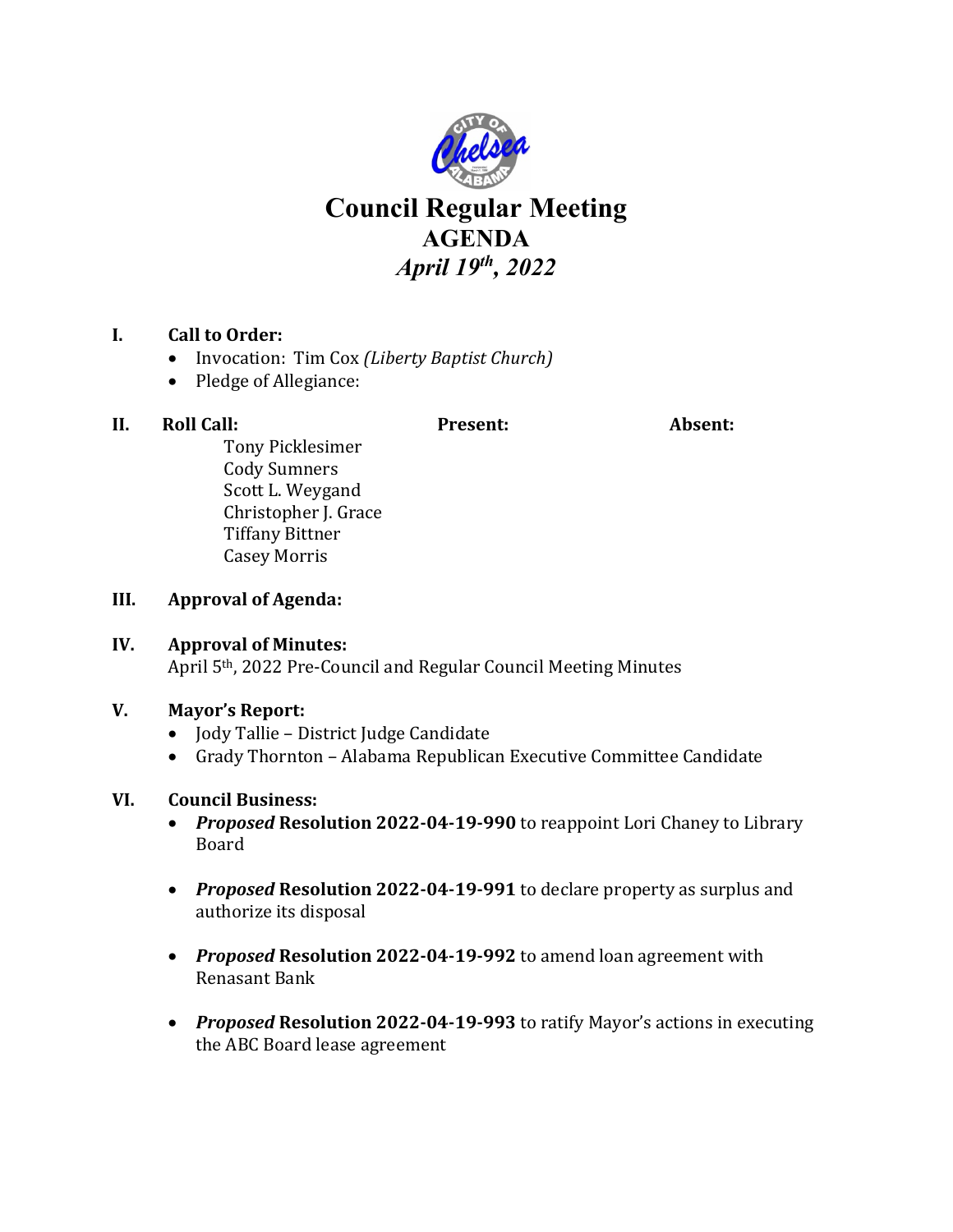

# **Council Regular Meeting AGENDA** *April 19th, 2022*

# **I. Call to Order:**

- Invocation: Tim Cox *(Liberty Baptist Church)*
- Pledge of Allegiance:

# **II. Roll Call: Present: Absent:**

Tony Picklesimer Cody Sumners Scott L. Weygand Christopher J. Grace Tiffany Bittner Casey Morris

#### **III. Approval of Agenda:**

### **IV. Approval of Minutes:** April 5th, 2022 Pre-Council and Regular Council Meeting Minutes

#### **V. Mayor's Report:**

- Jody Tallie District Judge Candidate
- Grady Thornton Alabama Republican Executive Committee Candidate

#### **VI. Council Business:**

- *Proposed* **Resolution 2022-04-19-990** to reappoint Lori Chaney to Library Board
- *Proposed* **Resolution 2022-04-19-991** to declare property as surplus and authorize its disposal
- *Proposed* **Resolution 2022-04-19-992** to amend loan agreement with Renasant Bank
- *Proposed* **Resolution 2022-04-19-993** to ratify Mayor's actions in executing the ABC Board lease agreement